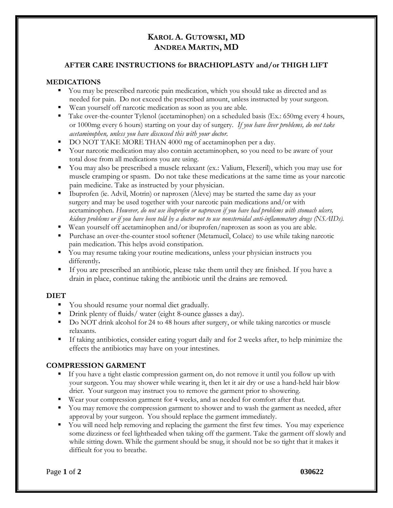# **KAROL A. GUTOWSKI, MD ANDREA MARTIN, MD**

#### **AFTER CARE INSTRUCTIONS for BRACHIOPLASTY and/or THIGH LIFT**

#### **MEDICATIONS**

- You may be prescribed narcotic pain medication, which you should take as directed and as needed for pain. Do not exceed the prescribed amount, unless instructed by your surgeon.
- Wean yourself off narcotic medication as soon as you are able.
- Take over-the-counter Tylenol (acetaminophen) on a scheduled basis (Ex.: 650mg every 4 hours, or 1000mg every 6 hours) starting on your day of surgery. *If you have liver problems, do not take acetaminophen, unless you have discussed this with your doctor.*
- DO NOT TAKE MORE THAN 4000 mg of acetaminophen per a day.
- Your narcotic medication may also contain acetaminophen, so you need to be aware of your total dose from all medications you are using.
- You may also be prescribed a muscle relaxant (ex.: Valium, Flexeril), which you may use for muscle cramping or spasm. Do not take these medications at the same time as your narcotic pain medicine. Take as instructed by your physician.
- Ibuprofen (ie. Advil, Motrin) or naproxen (Aleve) may be started the same day as your surgery and may be used together with your narcotic pain medications and/or with acetaminophen. *However, do not use ibuprofen or naproxen if you have had problems with stomach ulcers, kidney problems or if you have been told by a doctor not to use nonsteroidal anti-inflammatory drugs (NSAIDs).*
- Wean yourself off acetaminophen and/or ibuprofen/naproxen as soon as you are able.
- Purchase an over-the-counter stool softener (Metamucil, Colace) to use while taking narcotic pain medication. This helps avoid constipation.
- You may resume taking your routine medications, unless your physician instructs you differently**.**
- If you are prescribed an antibiotic, please take them until they are finished. If you have a drain in place, continue taking the antibiotic until the drains are removed.

#### **DIET**

- You should resume your normal diet gradually.
- Drink plenty of fluids/ water (eight 8-ounce glasses a day).
- Do NOT drink alcohol for 24 to 48 hours after surgery, or while taking narcotics or muscle relaxants.
- **•** If taking antibiotics, consider eating yogurt daily and for 2 weeks after, to help minimize the effects the antibiotics may have on your intestines.

#### **COMPRESSION GARMENT**

- If you have a tight elastic compression garment on, do not remove it until you follow up with your surgeon. You may shower while wearing it, then let it air dry or use a hand-held hair blow drier. Your surgeon may instruct you to remove the garment prior to showering.
- Wear your compression garment for 4 weeks, and as needed for comfort after that.
- You may remove the compression garment to shower and to wash the garment as needed, after approval by your surgeon. You should replace the garment immediately.
- You will need help removing and replacing the garment the first few times. You may experience some dizziness or feel lightheaded when taking off the garment. Take the garment off slowly and while sitting down. While the garment should be snug, it should not be so tight that it makes it difficult for you to breathe.